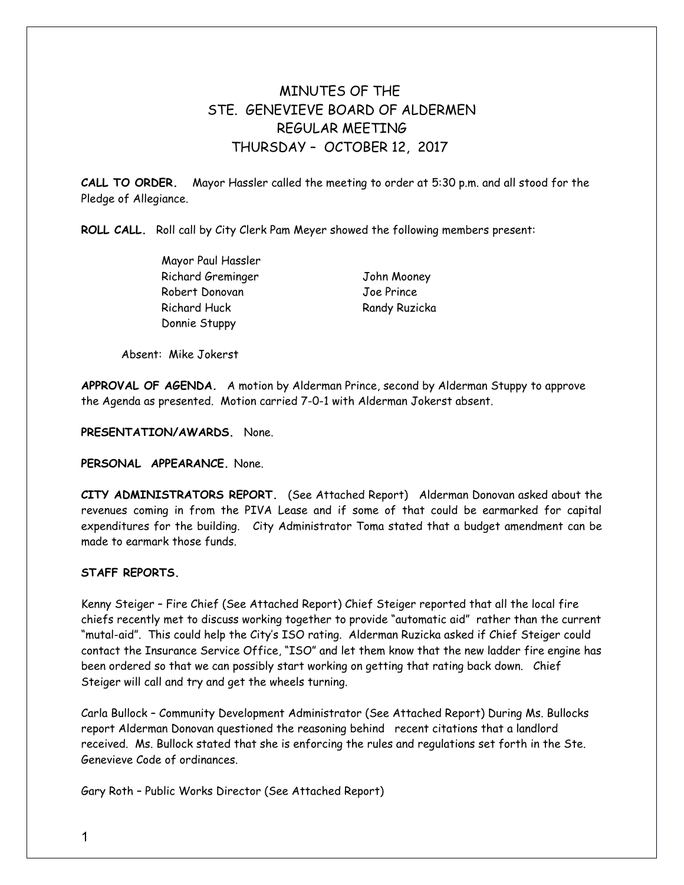# MINUTES OF THE STE. GENEVIEVE BOARD OF ALDERMEN REGULAR MEETING THURSDAY – OCTOBER 12, 2017

**CALL TO ORDER.** Mayor Hassler called the meeting to order at 5:30 p.m. and all stood for the Pledge of Allegiance.

**ROLL CALL.** Roll call by City Clerk Pam Meyer showed the following members present:

Mayor Paul Hassler Richard Greminger John Mooney Robert Donovan Joe Prince Richard Huck Richard Huck Randy Ruzicka Donnie Stuppy

Absent: Mike Jokerst

**APPROVAL OF AGENDA.** A motion by Alderman Prince, second by Alderman Stuppy to approve the Agenda as presented. Motion carried 7-0-1 with Alderman Jokerst absent.

**PRESENTATION/AWARDS.** None.

**PERSONAL APPEARANCE.** None.

**CITY ADMINISTRATORS REPORT.** (See Attached Report) Alderman Donovan asked about the revenues coming in from the PIVA Lease and if some of that could be earmarked for capital expenditures for the building. City Administrator Toma stated that a budget amendment can be made to earmark those funds.

## **STAFF REPORTS.**

Kenny Steiger – Fire Chief (See Attached Report) Chief Steiger reported that all the local fire chiefs recently met to discuss working together to provide "automatic aid" rather than the current "mutal-aid". This could help the City's ISO rating. Alderman Ruzicka asked if Chief Steiger could contact the Insurance Service Office, "ISO" and let them know that the new ladder fire engine has been ordered so that we can possibly start working on getting that rating back down. Chief Steiger will call and try and get the wheels turning.

Carla Bullock – Community Development Administrator (See Attached Report) During Ms. Bullocks report Alderman Donovan questioned the reasoning behind recent citations that a landlord received. Ms. Bullock stated that she is enforcing the rules and regulations set forth in the Ste. Genevieve Code of ordinances.

Gary Roth – Public Works Director (See Attached Report)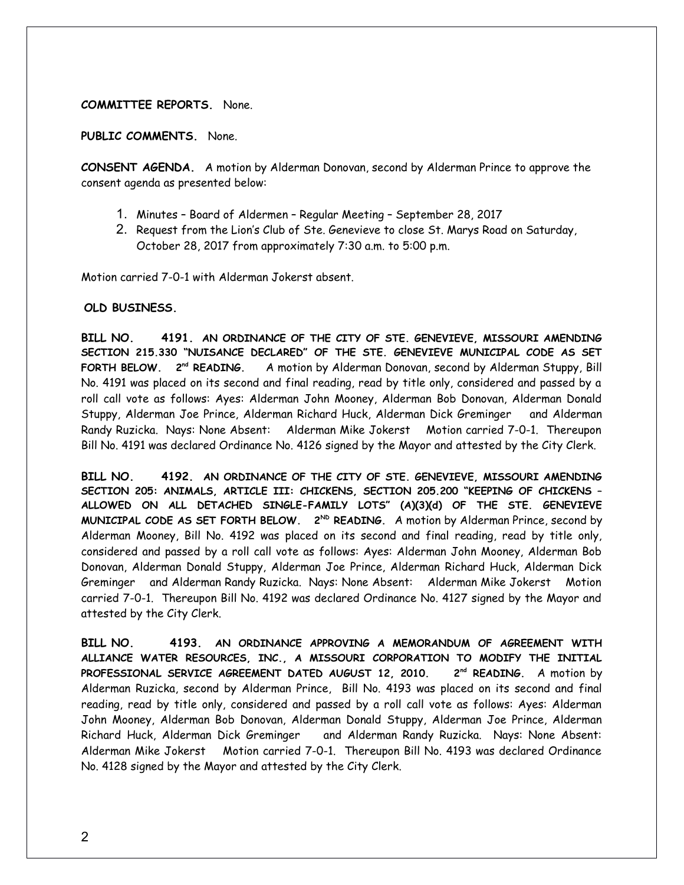## **COMMITTEE REPORTS.** None.

**PUBLIC COMMENTS.** None.

**CONSENT AGENDA.** A motion by Alderman Donovan, second by Alderman Prince to approve the consent agenda as presented below:

- 1. Minutes Board of Aldermen Regular Meeting September 28, 2017
- 2. Request from the Lion's Club of Ste. Genevieve to close St. Marys Road on Saturday, October 28, 2017 from approximately 7:30 a.m. to 5:00 p.m.

Motion carried 7-0-1 with Alderman Jokerst absent.

## **OLD BUSINESS.**

**BILL NO. 4191. AN ORDINANCE OF THE CITY OF STE. GENEVIEVE, MISSOURI AMENDING SECTION 215.330 "NUISANCE DECLARED" OF THE STE. GENEVIEVE MUNICIPAL CODE AS SET FORTH BELOW. 2** A motion by Alderman Donovan, second by Alderman Stuppy, Bill No. 4191 was placed on its second and final reading, read by title only, considered and passed by a roll call vote as follows: Ayes: Alderman John Mooney, Alderman Bob Donovan, Alderman Donald Stuppy, Alderman Joe Prince, Alderman Richard Huck, Alderman Dick Greminger and Alderman Randy Ruzicka. Nays: None Absent: Alderman Mike Jokerst Motion carried 7-0-1. Thereupon Bill No. 4191 was declared Ordinance No. 4126 signed by the Mayor and attested by the City Clerk.

**BILL NO. 4192. AN ORDINANCE OF THE CITY OF STE. GENEVIEVE, MISSOURI AMENDING SECTION 205: ANIMALS, ARTICLE III: CHICKENS, SECTION 205.200 "KEEPING OF CHICKENS – ALLOWED ON ALL DETACHED SINGLE-FAMILY LOTS" (A)(3)(d) OF THE STE. GENEVIEVE MUNICIPAL CODE AS SET FORTH BELOW.** 2<sup>ND</sup> READING. A motion by Alderman Prince, second by Alderman Mooney, Bill No. 4192 was placed on its second and final reading, read by title only, considered and passed by a roll call vote as follows: Ayes: Alderman John Mooney, Alderman Bob Donovan, Alderman Donald Stuppy, Alderman Joe Prince, Alderman Richard Huck, Alderman Dick Greminger and Alderman Randy Ruzicka. Nays: None Absent: Alderman Mike Jokerst Motion carried 7-0-1. Thereupon Bill No. 4192 was declared Ordinance No. 4127 signed by the Mayor and attested by the City Clerk.

**BILL NO. 4193. AN ORDINANCE APPROVING A MEMORANDUM OF AGREEMENT WITH ALLIANCE WATER RESOURCES, INC., A MISSOURI CORPORATION TO MODIFY THE INITIAL PROFESSIONAL SERVICE AGREEMENT DATED AUGUST 12, 2010. 2nd READING.** A motion by Alderman Ruzicka, second by Alderman Prince, Bill No. 4193 was placed on its second and final reading, read by title only, considered and passed by a roll call vote as follows: Ayes: Alderman John Mooney, Alderman Bob Donovan, Alderman Donald Stuppy, Alderman Joe Prince, Alderman Richard Huck, Alderman Dick Greminger and Alderman Randy Ruzicka. Nays: None Absent: Alderman Mike Jokerst Motion carried 7-0-1. Thereupon Bill No. 4193 was declared Ordinance No. 4128 signed by the Mayor and attested by the City Clerk.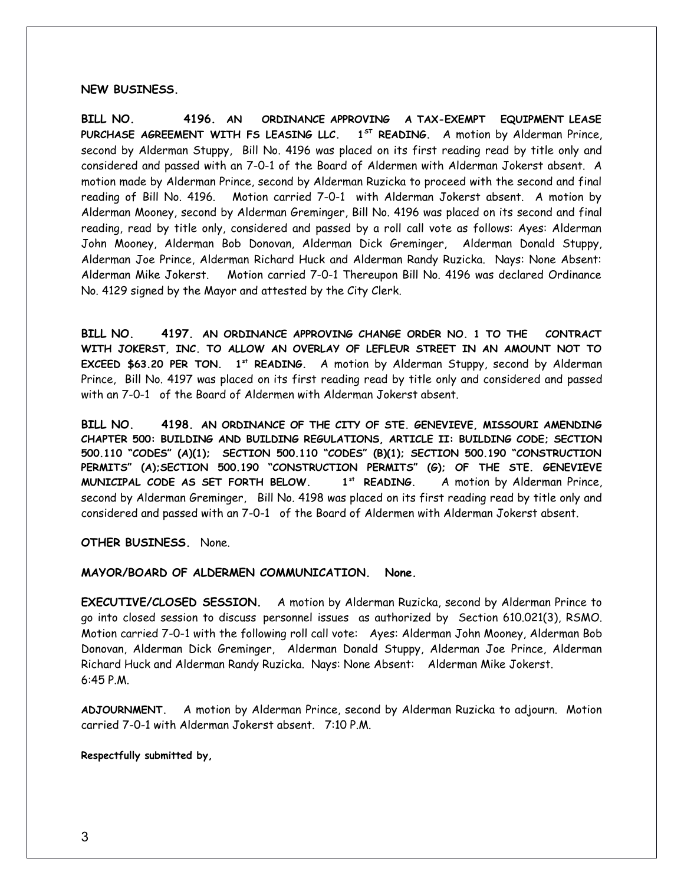#### **NEW BUSINESS.**

**BILL NO. 4196. AN ORDINANCE APPROVING A TAX-EXEMPT EQUIPMENT LEASE PURCHASE AGREEMENT WITH FS LEASING LLC. 1ST READING.** A motion by Alderman Prince, second by Alderman Stuppy, Bill No. 4196 was placed on its first reading read by title only and considered and passed with an 7-0-1 of the Board of Aldermen with Alderman Jokerst absent. A motion made by Alderman Prince, second by Alderman Ruzicka to proceed with the second and final reading of Bill No. 4196. Motion carried 7-0-1 with Alderman Jokerst absent. A motion by Alderman Mooney, second by Alderman Greminger, Bill No. 4196 was placed on its second and final reading, read by title only, considered and passed by a roll call vote as follows: Ayes: Alderman John Mooney, Alderman Bob Donovan, Alderman Dick Greminger, Alderman Donald Stuppy, Alderman Joe Prince, Alderman Richard Huck and Alderman Randy Ruzicka. Nays: None Absent: Alderman Mike Jokerst. Motion carried 7-0-1 Thereupon Bill No. 4196 was declared Ordinance No. 4129 signed by the Mayor and attested by the City Clerk.

**BILL NO. 4197. AN ORDINANCE APPROVING CHANGE ORDER NO. 1 TO THE CONTRACT WITH JOKERST, INC. TO ALLOW AN OVERLAY OF LEFLEUR STREET IN AN AMOUNT NOT TO EXCEED \$63.20 PER TON. 1st READING.** A motion by Alderman Stuppy, second by Alderman Prince, Bill No. 4197 was placed on its first reading read by title only and considered and passed with an 7-0-1 of the Board of Aldermen with Alderman Jokerst absent.

**BILL NO. 4198. AN ORDINANCE OF THE CITY OF STE. GENEVIEVE, MISSOURI AMENDING CHAPTER 500: BUILDING AND BUILDING REGULATIONS, ARTICLE II: BUILDING CODE; SECTION 500.110 "CODES" (A)(1); SECTION 500.110 "CODES" (B)(1); SECTION 500.190 "CONSTRUCTION PERMITS" (A);SECTION 500.190 "CONSTRUCTION PERMITS" (G); OF THE STE. GENEVIEVE MUNICIPAL CODE AS SET FORTH BELOW. 1st READING.** A motion by Alderman Prince, second by Alderman Greminger, Bill No. 4198 was placed on its first reading read by title only and considered and passed with an 7-0-1 of the Board of Aldermen with Alderman Jokerst absent.

**OTHER BUSINESS.** None.

#### **MAYOR/BOARD OF ALDERMEN COMMUNICATION. None.**

**EXECUTIVE/CLOSED SESSION.** A motion by Alderman Ruzicka, second by Alderman Prince to go into closed session to discuss personnel issues as authorized by Section 610.021(3), RSMO. Motion carried 7-0-1 with the following roll call vote: Ayes: Alderman John Mooney, Alderman Bob Donovan, Alderman Dick Greminger, Alderman Donald Stuppy, Alderman Joe Prince, Alderman Richard Huck and Alderman Randy Ruzicka. Nays: None Absent: Alderman Mike Jokerst. 6:45 P.M.

**ADJOURNMENT.** A motion by Alderman Prince, second by Alderman Ruzicka to adjourn. Motion carried 7-0-1 with Alderman Jokerst absent. 7:10 P.M.

**Respectfully submitted by,**